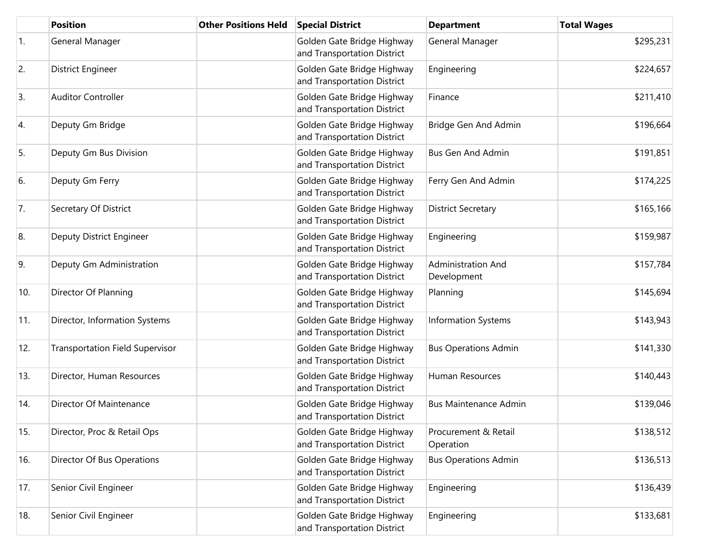|            | <b>Position</b>                        | <b>Other Positions Held</b> | <b>Special District</b>                                   | <b>Department</b>                 | <b>Total Wages</b> |
|------------|----------------------------------------|-----------------------------|-----------------------------------------------------------|-----------------------------------|--------------------|
| $\vert$ 1. | General Manager                        |                             | Golden Gate Bridge Highway<br>and Transportation District | General Manager                   | \$295,231          |
| 2.         | <b>District Engineer</b>               |                             | Golden Gate Bridge Highway<br>and Transportation District | Engineering                       | \$224,657          |
| 3.         | <b>Auditor Controller</b>              |                             | Golden Gate Bridge Highway<br>and Transportation District | Finance                           | \$211,410          |
| 4.         | Deputy Gm Bridge                       |                             | Golden Gate Bridge Highway<br>and Transportation District | Bridge Gen And Admin              | \$196,664          |
| 5.         | Deputy Gm Bus Division                 |                             | Golden Gate Bridge Highway<br>and Transportation District | <b>Bus Gen And Admin</b>          | \$191,851          |
| 6.         | Deputy Gm Ferry                        |                             | Golden Gate Bridge Highway<br>and Transportation District | Ferry Gen And Admin               | \$174,225          |
| 7.         | Secretary Of District                  |                             | Golden Gate Bridge Highway<br>and Transportation District | <b>District Secretary</b>         | \$165,166          |
| 8.         | Deputy District Engineer               |                             | Golden Gate Bridge Highway<br>and Transportation District | Engineering                       | \$159,987          |
| 9.         | Deputy Gm Administration               |                             | Golden Gate Bridge Highway<br>and Transportation District | Administration And<br>Development | \$157,784          |
| 10.        | Director Of Planning                   |                             | Golden Gate Bridge Highway<br>and Transportation District | Planning                          | \$145,694          |
| 11.        | Director, Information Systems          |                             | Golden Gate Bridge Highway<br>and Transportation District | <b>Information Systems</b>        | \$143,943          |
| 12.        | <b>Transportation Field Supervisor</b> |                             | Golden Gate Bridge Highway<br>and Transportation District | <b>Bus Operations Admin</b>       | \$141,330          |
| 13.        | Director, Human Resources              |                             | Golden Gate Bridge Highway<br>and Transportation District | Human Resources                   | \$140,443          |
| 14.        | Director Of Maintenance                |                             | Golden Gate Bridge Highway<br>and Transportation District | <b>Bus Maintenance Admin</b>      | \$139,046          |
| 15.        | Director, Proc & Retail Ops            |                             | Golden Gate Bridge Highway<br>and Transportation District | Procurement & Retail<br>Operation | \$138,512          |
| 16.        | Director Of Bus Operations             |                             | Golden Gate Bridge Highway<br>and Transportation District | <b>Bus Operations Admin</b>       | \$136,513          |
| 17.        | Senior Civil Engineer                  |                             | Golden Gate Bridge Highway<br>and Transportation District | Engineering                       | \$136,439          |
| 18.        | Senior Civil Engineer                  |                             | Golden Gate Bridge Highway<br>and Transportation District | Engineering                       | \$133,681          |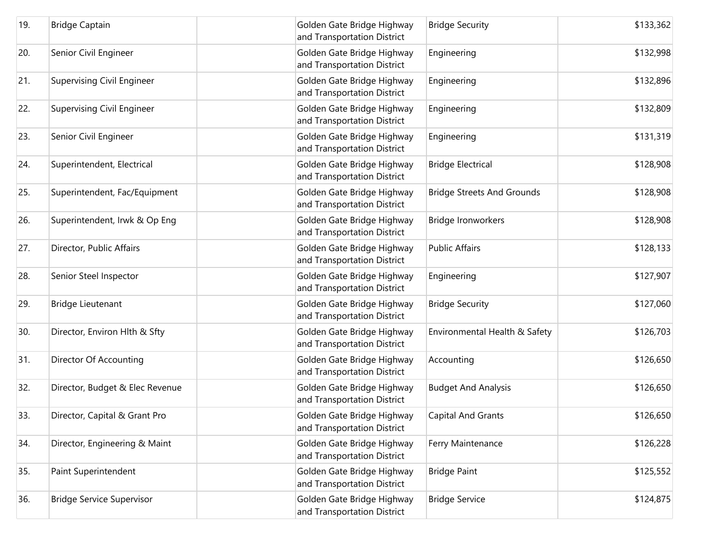| 19. | <b>Bridge Captain</b>             | Golden Gate Bridge Highway<br>and Transportation District | <b>Bridge Security</b>            | \$133,362 |
|-----|-----------------------------------|-----------------------------------------------------------|-----------------------------------|-----------|
| 20. | Senior Civil Engineer             | Golden Gate Bridge Highway<br>and Transportation District | Engineering                       | \$132,998 |
| 21. | <b>Supervising Civil Engineer</b> | Golden Gate Bridge Highway<br>and Transportation District | Engineering                       | \$132,896 |
| 22. | <b>Supervising Civil Engineer</b> | Golden Gate Bridge Highway<br>and Transportation District | Engineering                       | \$132,809 |
| 23. | Senior Civil Engineer             | Golden Gate Bridge Highway<br>and Transportation District | Engineering                       | \$131,319 |
| 24. | Superintendent, Electrical        | Golden Gate Bridge Highway<br>and Transportation District | <b>Bridge Electrical</b>          | \$128,908 |
| 25. | Superintendent, Fac/Equipment     | Golden Gate Bridge Highway<br>and Transportation District | <b>Bridge Streets And Grounds</b> | \$128,908 |
| 26. | Superintendent, Irwk & Op Eng     | Golden Gate Bridge Highway<br>and Transportation District | Bridge Ironworkers                | \$128,908 |
| 27. | Director, Public Affairs          | Golden Gate Bridge Highway<br>and Transportation District | <b>Public Affairs</b>             | \$128,133 |
| 28. | Senior Steel Inspector            | Golden Gate Bridge Highway<br>and Transportation District | Engineering                       | \$127,907 |
| 29. | Bridge Lieutenant                 | Golden Gate Bridge Highway<br>and Transportation District | <b>Bridge Security</b>            | \$127,060 |
| 30. | Director, Environ Hlth & Sfty     | Golden Gate Bridge Highway<br>and Transportation District | Environmental Health & Safety     | \$126,703 |
| 31. | Director Of Accounting            | Golden Gate Bridge Highway<br>and Transportation District | Accounting                        | \$126,650 |
| 32. | Director, Budget & Elec Revenue   | Golden Gate Bridge Highway<br>and Transportation District | <b>Budget And Analysis</b>        | \$126,650 |
| 33. | Director, Capital & Grant Pro     | Golden Gate Bridge Highway<br>and Transportation District | Capital And Grants                | \$126,650 |
| 34. | Director, Engineering & Maint     | Golden Gate Bridge Highway<br>and Transportation District | Ferry Maintenance                 | \$126,228 |
| 35. | Paint Superintendent              | Golden Gate Bridge Highway<br>and Transportation District | <b>Bridge Paint</b>               | \$125,552 |
| 36. | <b>Bridge Service Supervisor</b>  | Golden Gate Bridge Highway<br>and Transportation District | <b>Bridge Service</b>             | \$124,875 |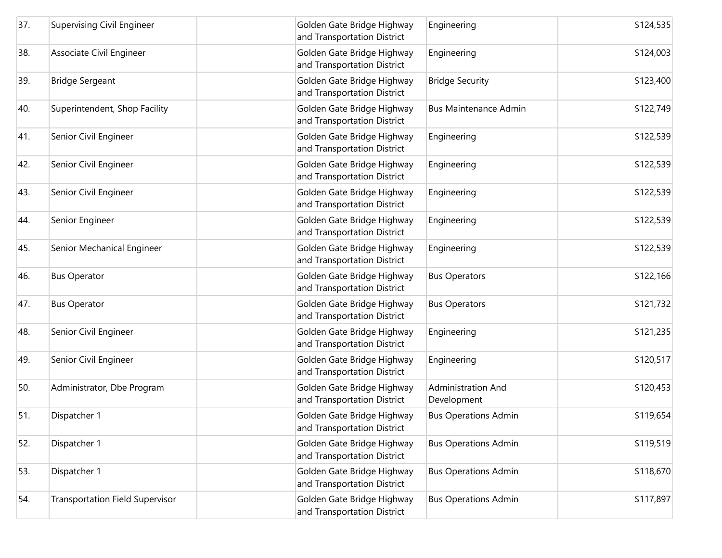| 37. | Supervising Civil Engineer             | Golden Gate Bridge Highway<br>and Transportation District | Engineering                       | \$124,535 |
|-----|----------------------------------------|-----------------------------------------------------------|-----------------------------------|-----------|
| 38. | Associate Civil Engineer               | Golden Gate Bridge Highway<br>and Transportation District | Engineering                       | \$124,003 |
| 39. | <b>Bridge Sergeant</b>                 | Golden Gate Bridge Highway<br>and Transportation District | <b>Bridge Security</b>            | \$123,400 |
| 40. | Superintendent, Shop Facility          | Golden Gate Bridge Highway<br>and Transportation District | <b>Bus Maintenance Admin</b>      | \$122,749 |
| 41. | Senior Civil Engineer                  | Golden Gate Bridge Highway<br>and Transportation District | Engineering                       | \$122,539 |
| 42. | Senior Civil Engineer                  | Golden Gate Bridge Highway<br>and Transportation District | Engineering                       | \$122,539 |
| 43. | Senior Civil Engineer                  | Golden Gate Bridge Highway<br>and Transportation District | Engineering                       | \$122,539 |
| 44. | Senior Engineer                        | Golden Gate Bridge Highway<br>and Transportation District | Engineering                       | \$122,539 |
| 45. | Senior Mechanical Engineer             | Golden Gate Bridge Highway<br>and Transportation District | Engineering                       | \$122,539 |
| 46. | <b>Bus Operator</b>                    | Golden Gate Bridge Highway<br>and Transportation District | <b>Bus Operators</b>              | \$122,166 |
| 47. | <b>Bus Operator</b>                    | Golden Gate Bridge Highway<br>and Transportation District | <b>Bus Operators</b>              | \$121,732 |
| 48. | Senior Civil Engineer                  | Golden Gate Bridge Highway<br>and Transportation District | Engineering                       | \$121,235 |
| 49. | Senior Civil Engineer                  | Golden Gate Bridge Highway<br>and Transportation District | Engineering                       | \$120,517 |
| 50. | Administrator, Dbe Program             | Golden Gate Bridge Highway<br>and Transportation District | Administration And<br>Development | \$120,453 |
| 51. | Dispatcher 1                           | Golden Gate Bridge Highway<br>and Transportation District | <b>Bus Operations Admin</b>       | \$119,654 |
| 52. | Dispatcher 1                           | Golden Gate Bridge Highway<br>and Transportation District | <b>Bus Operations Admin</b>       | \$119,519 |
| 53. | Dispatcher 1                           | Golden Gate Bridge Highway<br>and Transportation District | <b>Bus Operations Admin</b>       | \$118,670 |
| 54. | <b>Transportation Field Supervisor</b> | Golden Gate Bridge Highway<br>and Transportation District | <b>Bus Operations Admin</b>       | \$117,897 |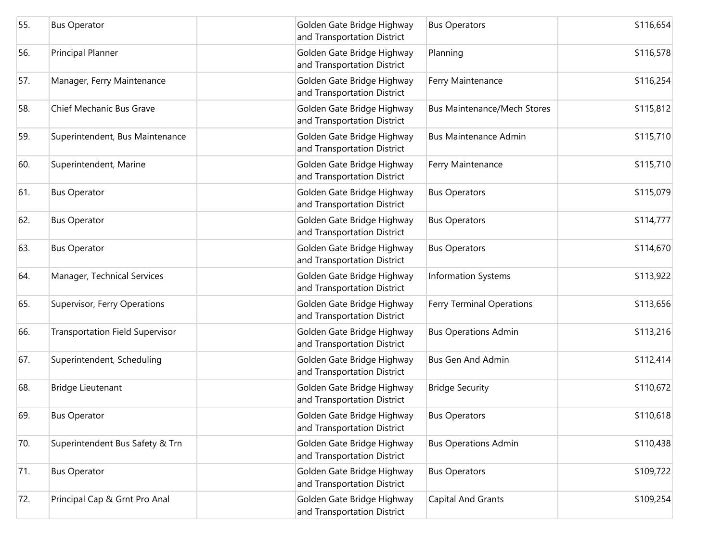| 55. | <b>Bus Operator</b>                    | Golden Gate Bridge Highway<br>and Transportation District | <b>Bus Operators</b>               | \$116,654 |
|-----|----------------------------------------|-----------------------------------------------------------|------------------------------------|-----------|
| 56. | Principal Planner                      | Golden Gate Bridge Highway<br>and Transportation District | Planning                           | \$116,578 |
| 57. | Manager, Ferry Maintenance             | Golden Gate Bridge Highway<br>and Transportation District | Ferry Maintenance                  | \$116,254 |
| 58. | Chief Mechanic Bus Grave               | Golden Gate Bridge Highway<br>and Transportation District | <b>Bus Maintenance/Mech Stores</b> | \$115,812 |
| 59. | Superintendent, Bus Maintenance        | Golden Gate Bridge Highway<br>and Transportation District | <b>Bus Maintenance Admin</b>       | \$115,710 |
| 60. | Superintendent, Marine                 | Golden Gate Bridge Highway<br>and Transportation District | Ferry Maintenance                  | \$115,710 |
| 61. | <b>Bus Operator</b>                    | Golden Gate Bridge Highway<br>and Transportation District | <b>Bus Operators</b>               | \$115,079 |
| 62. | <b>Bus Operator</b>                    | Golden Gate Bridge Highway<br>and Transportation District | <b>Bus Operators</b>               | \$114,777 |
| 63. | <b>Bus Operator</b>                    | Golden Gate Bridge Highway<br>and Transportation District | <b>Bus Operators</b>               | \$114,670 |
| 64. | Manager, Technical Services            | Golden Gate Bridge Highway<br>and Transportation District | <b>Information Systems</b>         | \$113,922 |
| 65. | Supervisor, Ferry Operations           | Golden Gate Bridge Highway<br>and Transportation District | <b>Ferry Terminal Operations</b>   | \$113,656 |
| 66. | <b>Transportation Field Supervisor</b> | Golden Gate Bridge Highway<br>and Transportation District | <b>Bus Operations Admin</b>        | \$113,216 |
| 67. | Superintendent, Scheduling             | Golden Gate Bridge Highway<br>and Transportation District | <b>Bus Gen And Admin</b>           | \$112,414 |
| 68. | Bridge Lieutenant                      | Golden Gate Bridge Highway<br>and Transportation District | <b>Bridge Security</b>             | \$110,672 |
| 69. | <b>Bus Operator</b>                    | Golden Gate Bridge Highway<br>and Transportation District | <b>Bus Operators</b>               | \$110,618 |
| 70. | Superintendent Bus Safety & Trn        | Golden Gate Bridge Highway<br>and Transportation District | <b>Bus Operations Admin</b>        | \$110,438 |
| 71. | <b>Bus Operator</b>                    | Golden Gate Bridge Highway<br>and Transportation District | <b>Bus Operators</b>               | \$109,722 |
| 72. | Principal Cap & Grnt Pro Anal          | Golden Gate Bridge Highway<br>and Transportation District | <b>Capital And Grants</b>          | \$109,254 |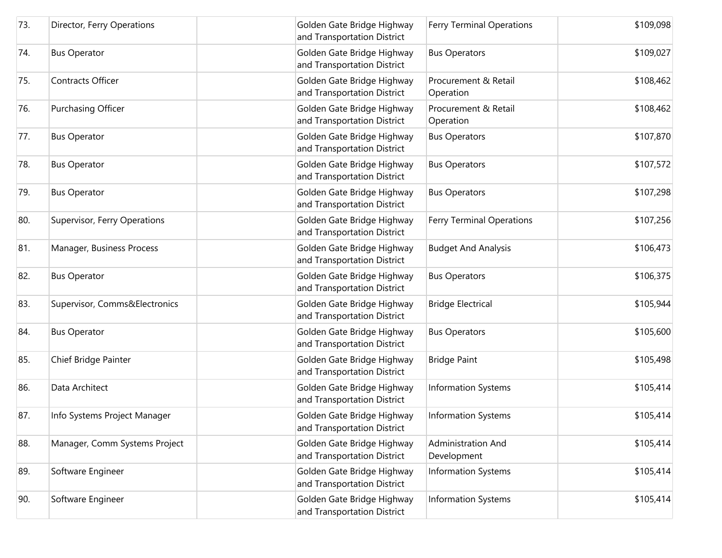| 73. | Director, Ferry Operations    | Golden Gate Bridge Highway<br>and Transportation District | <b>Ferry Terminal Operations</b>  | \$109,098 |
|-----|-------------------------------|-----------------------------------------------------------|-----------------------------------|-----------|
| 74. | <b>Bus Operator</b>           | Golden Gate Bridge Highway<br>and Transportation District | <b>Bus Operators</b>              | \$109,027 |
| 75. | Contracts Officer             | Golden Gate Bridge Highway<br>and Transportation District | Procurement & Retail<br>Operation | \$108,462 |
| 76. | Purchasing Officer            | Golden Gate Bridge Highway<br>and Transportation District | Procurement & Retail<br>Operation | \$108,462 |
| 77. | <b>Bus Operator</b>           | Golden Gate Bridge Highway<br>and Transportation District | <b>Bus Operators</b>              | \$107,870 |
| 78. | <b>Bus Operator</b>           | Golden Gate Bridge Highway<br>and Transportation District | <b>Bus Operators</b>              | \$107,572 |
| 79. | <b>Bus Operator</b>           | Golden Gate Bridge Highway<br>and Transportation District | <b>Bus Operators</b>              | \$107,298 |
| 80. | Supervisor, Ferry Operations  | Golden Gate Bridge Highway<br>and Transportation District | <b>Ferry Terminal Operations</b>  | \$107,256 |
| 81. | Manager, Business Process     | Golden Gate Bridge Highway<br>and Transportation District | <b>Budget And Analysis</b>        | \$106,473 |
| 82. | <b>Bus Operator</b>           | Golden Gate Bridge Highway<br>and Transportation District | <b>Bus Operators</b>              | \$106,375 |
| 83. | Supervisor, Comms&Electronics | Golden Gate Bridge Highway<br>and Transportation District | <b>Bridge Electrical</b>          | \$105,944 |
| 84. | <b>Bus Operator</b>           | Golden Gate Bridge Highway<br>and Transportation District | <b>Bus Operators</b>              | \$105,600 |
| 85. | Chief Bridge Painter          | Golden Gate Bridge Highway<br>and Transportation District | <b>Bridge Paint</b>               | \$105,498 |
| 86. | Data Architect                | Golden Gate Bridge Highway<br>and Transportation District | Information Systems               | \$105,414 |
| 87. | Info Systems Project Manager  | Golden Gate Bridge Highway<br>and Transportation District | Information Systems               | \$105,414 |
| 88. | Manager, Comm Systems Project | Golden Gate Bridge Highway<br>and Transportation District | Administration And<br>Development | \$105,414 |
| 89. | Software Engineer             | Golden Gate Bridge Highway<br>and Transportation District | Information Systems               | \$105,414 |
| 90. | Software Engineer             | Golden Gate Bridge Highway<br>and Transportation District | <b>Information Systems</b>        | \$105,414 |